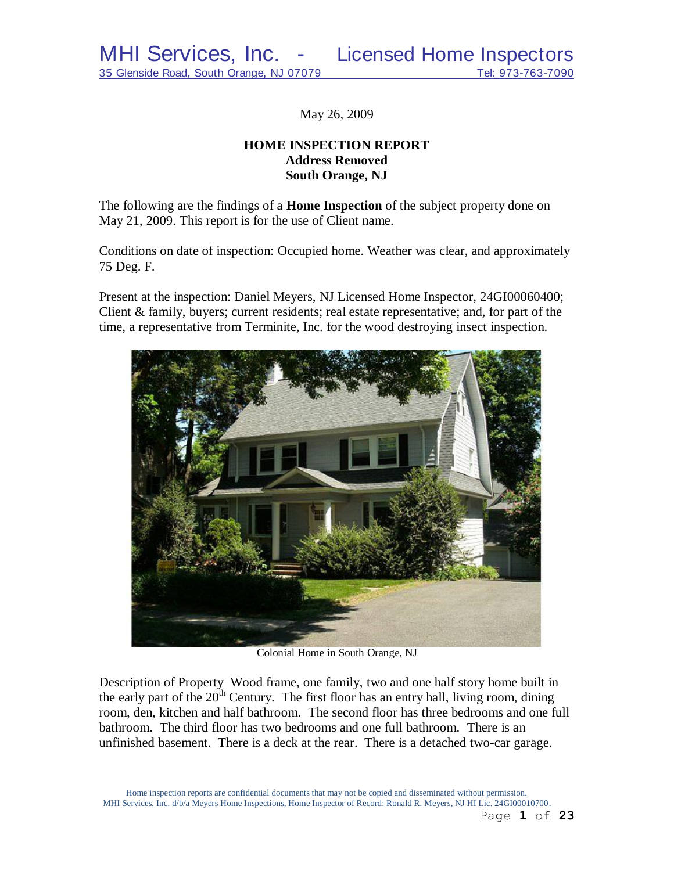May 26, 2009

# **HOME INSPECTION REPORT Address Removed South Orange, NJ**

The following are the findings of a **Home Inspection** of the subject property done on May 21, 2009. This report is for the use of Client name.

Conditions on date of inspection: Occupied home. Weather was clear, and approximately 75 Deg. F.

Present at the inspection: Daniel Meyers, NJ Licensed Home Inspector, 24GI00060400; Client & family, buyers; current residents; real estate representative; and, for part of the time, a representative from Terminite, Inc. for the wood destroying insect inspection.



Colonial Home in South Orange, NJ

Description of Property Wood frame, one family, two and one half story home built in the early part of the  $20<sup>th</sup>$  Century. The first floor has an entry hall, living room, dining room, den, kitchen and half bathroom. The second floor has three bedrooms and one full bathroom. The third floor has two bedrooms and one full bathroom. There is an unfinished basement. There is a deck at the rear. There is a detached two-car garage.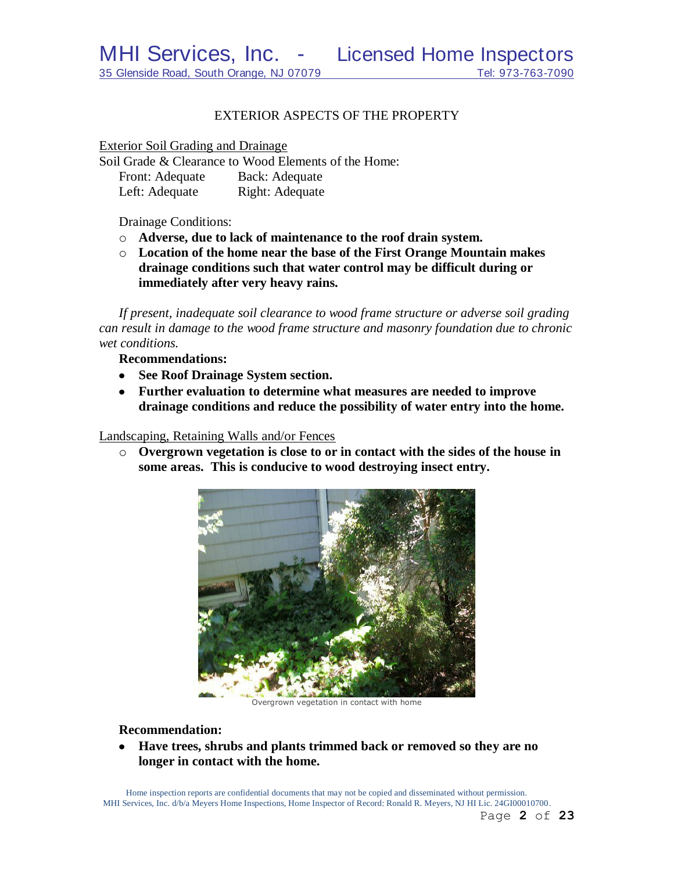### EXTERIOR ASPECTS OF THE PROPERTY

Exterior Soil Grading and Drainage

Soil Grade & Clearance to Wood Elements of the Home: Front: Adequate Back: Adequate Left: Adequate Right: Adequate

Drainage Conditions:

- o **Adverse, due to lack of maintenance to the roof drain system.**
- o **Location of the home near the base of the First Orange Mountain makes drainage conditions such that water control may be difficult during or immediately after very heavy rains.**

*If present, inadequate soil clearance to wood frame structure or adverse soil grading can result in damage to the wood frame structure and masonry foundation due to chronic wet conditions.*

**Recommendations:**

- **See Roof Drainage System section.**
- **Further evaluation to determine what measures are needed to improve drainage conditions and reduce the possibility of water entry into the home.**

Landscaping, Retaining Walls and/or Fences

o **Overgrown vegetation is close to or in contact with the sides of the house in some areas. This is conducive to wood destroying insect entry.**



Overgrown vegetation in contact with home

**Recommendation:**

**Have trees, shrubs and plants trimmed back or removed so they are no longer in contact with the home.**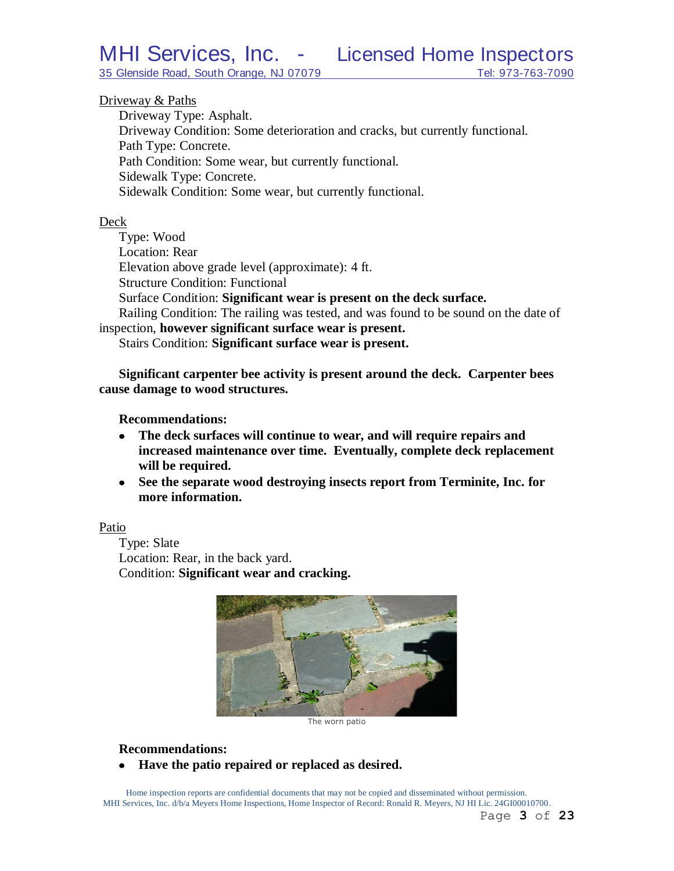### Driveway & Paths

Driveway Type: Asphalt. Driveway Condition: Some deterioration and cracks, but currently functional. Path Type: Concrete. Path Condition: Some wear, but currently functional. Sidewalk Type: Concrete. Sidewalk Condition: Some wear, but currently functional.

### Deck

Type: Wood Location: Rear Elevation above grade level (approximate): 4 ft. Structure Condition: Functional Surface Condition: **Significant wear is present on the deck surface.** Railing Condition: The railing was tested, and was found to be sound on the date of inspection, **however significant surface wear is present.**

Stairs Condition: **Significant surface wear is present.**

**Significant carpenter bee activity is present around the deck. Carpenter bees cause damage to wood structures.**

### **Recommendations:**

- **The deck surfaces will continue to wear, and will require repairs and increased maintenance over time. Eventually, complete deck replacement will be required.**
- **See the separate wood destroying insects report from Terminite, Inc. for more information.**

### Patio

Type: Slate Location: Rear, in the back yard. Condition: **Significant wear and cracking.**



The worn patio

### **Recommendations:**

**Have the patio repaired or replaced as desired.** $\bullet$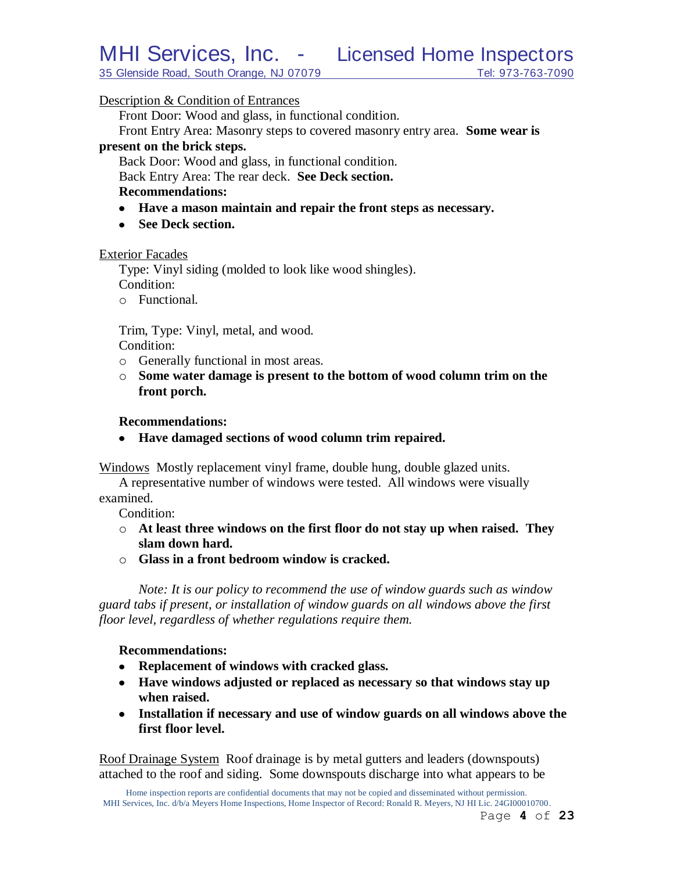35 Glenside Road, South Orange, NJ 07079 Tel: 973-763-7090

### Description & Condition of Entrances

Front Door: Wood and glass, in functional condition.

Front Entry Area: Masonry steps to covered masonry entry area. **Some wear is present on the brick steps.**

Back Door: Wood and glass, in functional condition.

Back Entry Area: The rear deck. **See Deck section.**

### **Recommendations:**

- **Have a mason maintain and repair the front steps as necessary.**
- See Deck section.

### Exterior Facades

Type: Vinyl siding (molded to look like wood shingles). Condition:

o Functional.

Trim, Type: Vinyl, metal, and wood. Condition:

- o Generally functional in most areas.
- o **Some water damage is present to the bottom of wood column trim on the front porch.**

### **Recommendations:**

**Have damaged sections of wood column trim repaired.**

Windows Mostly replacement vinyl frame, double hung, double glazed units.

A representative number of windows were tested. All windows were visually examined.

Condition:

- o **At least three windows on the first floor do not stay up when raised. They slam down hard.**
- o **Glass in a front bedroom window is cracked.**

*Note: It is our policy to recommend the use of window guards such as window guard tabs if present, or installation of window guards on all windows above the first floor level, regardless of whether regulations require them.*

### **Recommendations:**

- **Replacement of windows with cracked glass.**
- **Have windows adjusted or replaced as necessary so that windows stay up when raised.**
- **Installation if necessary and use of window guards on all windows above the first floor level.**

Roof Drainage System Roof drainage is by metal gutters and leaders (downspouts) attached to the roof and siding. Some downspouts discharge into what appears to be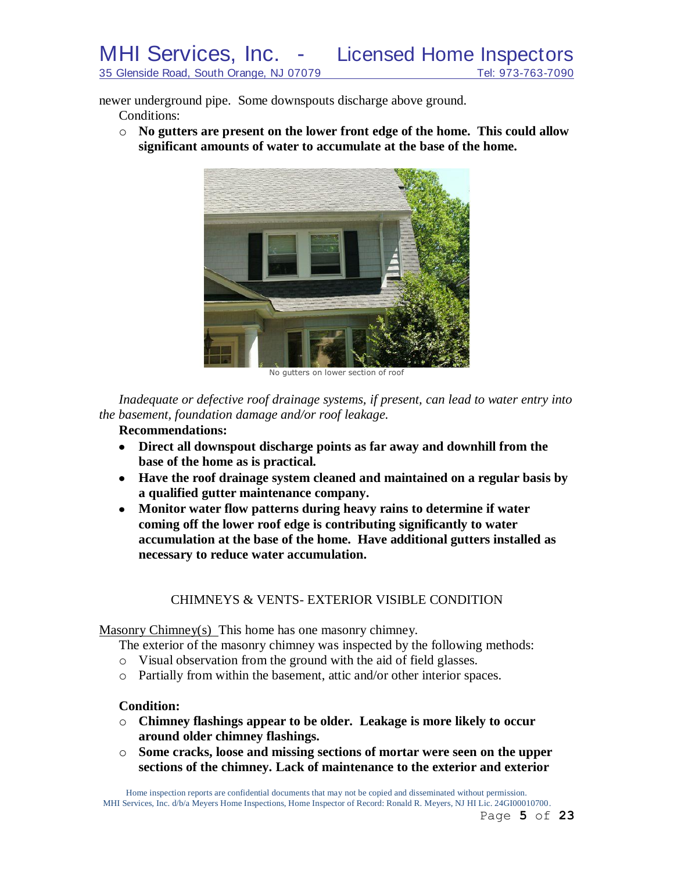newer underground pipe. Some downspouts discharge above ground.

Conditions:

o **No gutters are present on the lower front edge of the home. This could allow significant amounts of water to accumulate at the base of the home.**



No gutters on lower section of roof

*Inadequate or defective roof drainage systems, if present, can lead to water entry into the basement, foundation damage and/or roof leakage.*

# **Recommendations:**

- **Direct all downspout discharge points as far away and downhill from the base of the home as is practical.**
- **Have the roof drainage system cleaned and maintained on a regular basis by a qualified gutter maintenance company.**
- **Monitor water flow patterns during heavy rains to determine if water**   $\bullet$ **coming off the lower roof edge is contributing significantly to water accumulation at the base of the home. Have additional gutters installed as necessary to reduce water accumulation.**

### CHIMNEYS & VENTS- EXTERIOR VISIBLE CONDITION

Masonry Chimney(s) This home has one masonry chimney.

The exterior of the masonry chimney was inspected by the following methods:

- o Visual observation from the ground with the aid of field glasses.
- o Partially from within the basement, attic and/or other interior spaces.

### **Condition:**

- o **Chimney flashings appear to be older. Leakage is more likely to occur around older chimney flashings.**
- o **Some cracks, loose and missing sections of mortar were seen on the upper sections of the chimney. Lack of maintenance to the exterior and exterior**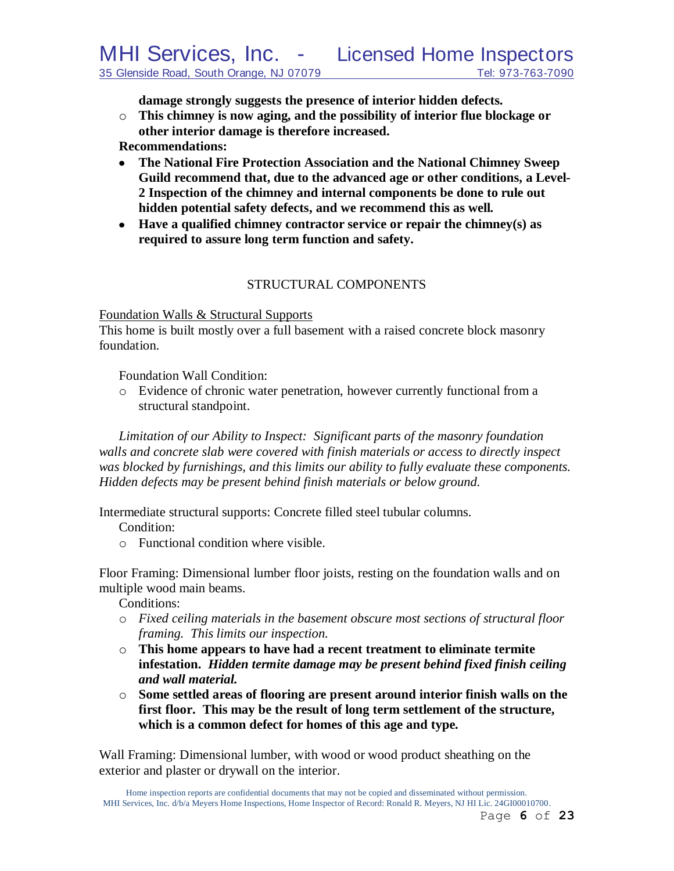**damage strongly suggests the presence of interior hidden defects.**

o **This chimney is now aging, and the possibility of interior flue blockage or other interior damage is therefore increased.**

**Recommendations:**

- **The National Fire Protection Association and the National Chimney Sweep Guild recommend that, due to the advanced age or other conditions, a Level-2 Inspection of the chimney and internal components be done to rule out hidden potential safety defects, and we recommend this as well***.*
- **Have a qualified chimney contractor service or repair the chimney(s) as required to assure long term function and safety.**

# STRUCTURAL COMPONENTS

### Foundation Walls & Structural Supports

This home is built mostly over a full basement with a raised concrete block masonry foundation.

Foundation Wall Condition:

o Evidence of chronic water penetration, however currently functional from a structural standpoint.

*Limitation of our Ability to Inspect: Significant parts of the masonry foundation walls and concrete slab were covered with finish materials or access to directly inspect was blocked by furnishings, and this limits our ability to fully evaluate these components. Hidden defects may be present behind finish materials or below ground.*

Intermediate structural supports: Concrete filled steel tubular columns.

Condition:

o Functional condition where visible.

Floor Framing: Dimensional lumber floor joists, resting on the foundation walls and on multiple wood main beams.

Conditions:

- o *Fixed ceiling materials in the basement obscure most sections of structural floor framing. This limits our inspection.*
- o **This home appears to have had a recent treatment to eliminate termite infestation.** *Hidden termite damage may be present behind fixed finish ceiling and wall material.*
- o **Some settled areas of flooring are present around interior finish walls on the first floor. This may be the result of long term settlement of the structure, which is a common defect for homes of this age and type***.*

Wall Framing: Dimensional lumber, with wood or wood product sheathing on the exterior and plaster or drywall on the interior.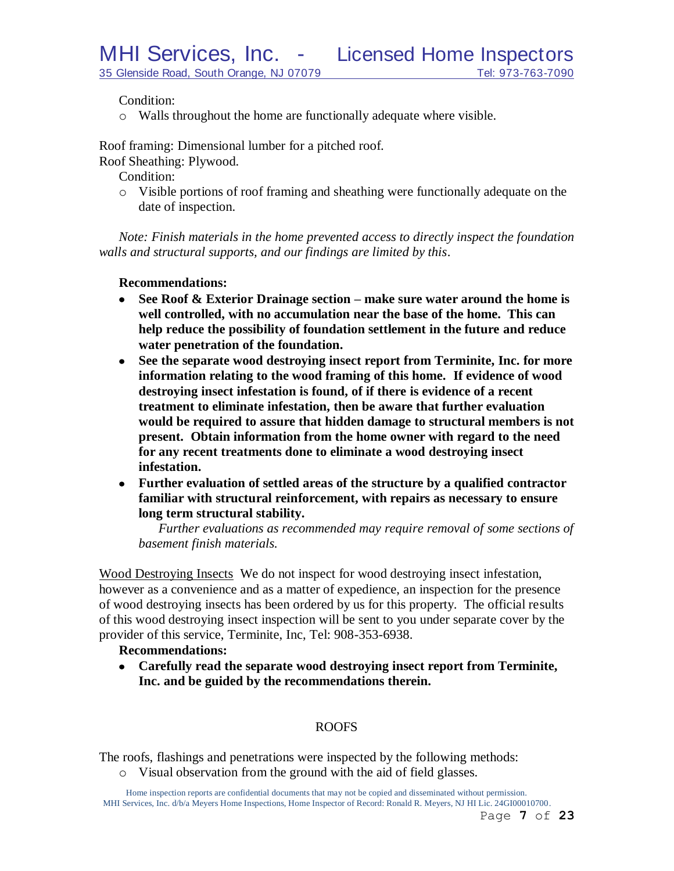Condition:

o Walls throughout the home are functionally adequate where visible.

Roof framing: Dimensional lumber for a pitched roof.

Roof Sheathing: Plywood.

Condition:

o Visible portions of roof framing and sheathing were functionally adequate on the date of inspection.

*Note: Finish materials in the home prevented access to directly inspect the foundation walls and structural supports, and our findings are limited by this*.

### **Recommendations:**

- **See Roof & Exterior Drainage section – make sure water around the home is**   $\bullet$ **well controlled, with no accumulation near the base of the home. This can help reduce the possibility of foundation settlement in the future and reduce water penetration of the foundation.**
- **See the separate wood destroying insect report from Terminite, Inc. for more information relating to the wood framing of this home. If evidence of wood destroying insect infestation is found, of if there is evidence of a recent treatment to eliminate infestation, then be aware that further evaluation would be required to assure that hidden damage to structural members is not present. Obtain information from the home owner with regard to the need for any recent treatments done to eliminate a wood destroying insect infestation.**
- **Further evaluation of settled areas of the structure by a qualified contractor familiar with structural reinforcement, with repairs as necessary to ensure long term structural stability.**

*Further evaluations as recommended may require removal of some sections of basement finish materials.*

Wood Destroying Insects We do not inspect for wood destroying insect infestation, however as a convenience and as a matter of expedience, an inspection for the presence of wood destroying insects has been ordered by us for this property. The official results of this wood destroying insect inspection will be sent to you under separate cover by the provider of this service, Terminite, Inc, Tel: 908-353-6938.

### **Recommendations:**

**Carefully read the separate wood destroying insect report from Terminite, Inc. and be guided by the recommendations therein.**

### ROOFS

The roofs, flashings and penetrations were inspected by the following methods:

o Visual observation from the ground with the aid of field glasses.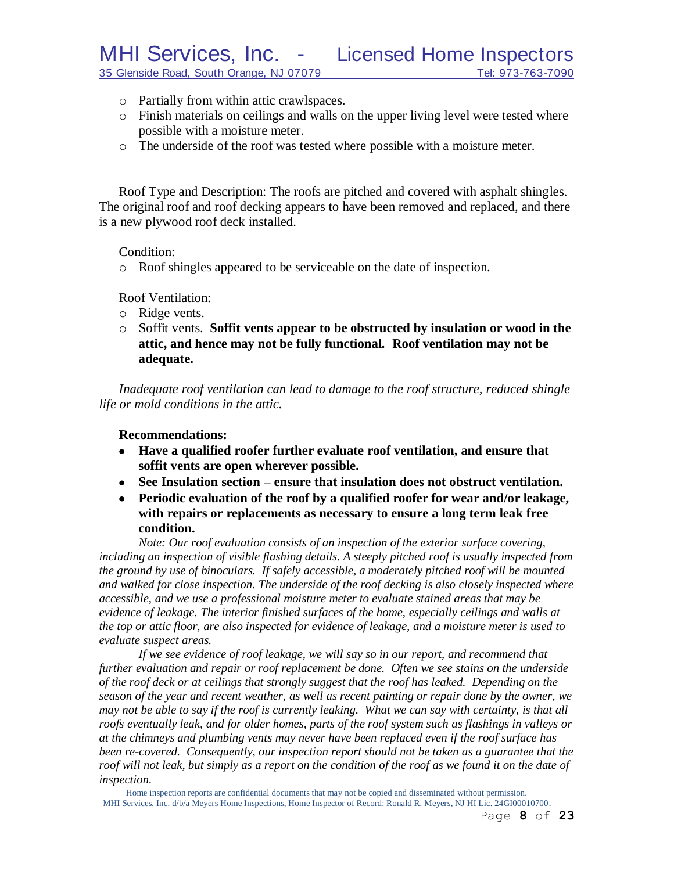MHI Services, Inc. - Licensed Home Inspectors

- 35 Glenside Road, South Orange, NJ 07079 Tel: 973-763-7090
	- o Partially from within attic crawlspaces.
	- o Finish materials on ceilings and walls on the upper living level were tested where possible with a moisture meter.
	- o The underside of the roof was tested where possible with a moisture meter.

Roof Type and Description: The roofs are pitched and covered with asphalt shingles. The original roof and roof decking appears to have been removed and replaced, and there is a new plywood roof deck installed.

Condition:

o Roof shingles appeared to be serviceable on the date of inspection.

Roof Ventilation:

- o Ridge vents.
- o Soffit vents. **Soffit vents appear to be obstructed by insulation or wood in the attic, and hence may not be fully functional. Roof ventilation may not be adequate.**

*Inadequate roof ventilation can lead to damage to the roof structure, reduced shingle life or mold conditions in the attic.*

### **Recommendations:**

- **Have a qualified roofer further evaluate roof ventilation, and ensure that soffit vents are open wherever possible.**
- **See Insulation section – ensure that insulation does not obstruct ventilation.**
- **Periodic evaluation of the roof by a qualified roofer for wear and/or leakage, with repairs or replacements as necessary to ensure a long term leak free condition.**

*Note: Our roof evaluation consists of an inspection of the exterior surface covering, including an inspection of visible flashing details. A steeply pitched roof is usually inspected from the ground by use of binoculars. If safely accessible, a moderately pitched roof will be mounted and walked for close inspection. The underside of the roof decking is also closely inspected where accessible, and we use a professional moisture meter to evaluate stained areas that may be evidence of leakage. The interior finished surfaces of the home, especially ceilings and walls at the top or attic floor, are also inspected for evidence of leakage, and a moisture meter is used to evaluate suspect areas.*

*If we see evidence of roof leakage, we will say so in our report, and recommend that further evaluation and repair or roof replacement be done. Often we see stains on the underside of the roof deck or at ceilings that strongly suggest that the roof has leaked. Depending on the season of the year and recent weather, as well as recent painting or repair done by the owner, we may not be able to say if the roof is currently leaking. What we can say with certainty, is that all roofs eventually leak, and for older homes, parts of the roof system such as flashings in valleys or at the chimneys and plumbing vents may never have been replaced even if the roof surface has been re-covered. Consequently, our inspection report should not be taken as a guarantee that the roof will not leak, but simply as a report on the condition of the roof as we found it on the date of inspection.*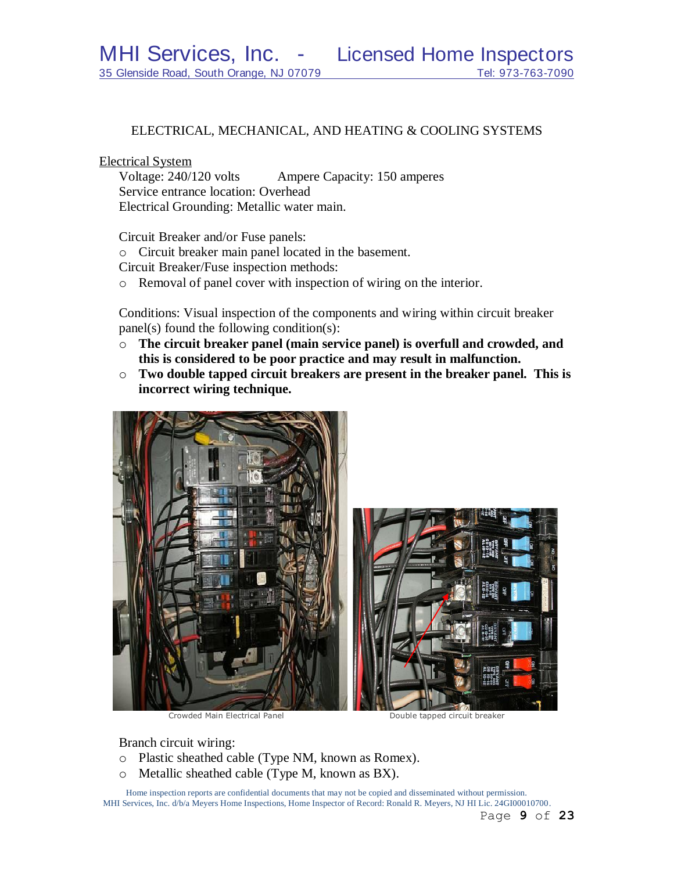### ELECTRICAL, MECHANICAL, AND HEATING & COOLING SYSTEMS

### Electrical System

Voltage: 240/120 volts Ampere Capacity: 150 amperes Service entrance location: Overhead Electrical Grounding: Metallic water main.

Circuit Breaker and/or Fuse panels:

o Circuit breaker main panel located in the basement.

Circuit Breaker/Fuse inspection methods:

o Removal of panel cover with inspection of wiring on the interior.

Conditions: Visual inspection of the components and wiring within circuit breaker panel(s) found the following condition(s):

- o **The circuit breaker panel (main service panel) is overfull and crowded, and this is considered to be poor practice and may result in malfunction.**
- o **Two double tapped circuit breakers are present in the breaker panel. This is incorrect wiring technique.**



Crowded Main Electrical Panel Double tapped circuit breaker

Branch circuit wiring:

- o Plastic sheathed cable (Type NM, known as Romex).
- o Metallic sheathed cable (Type M, known as BX).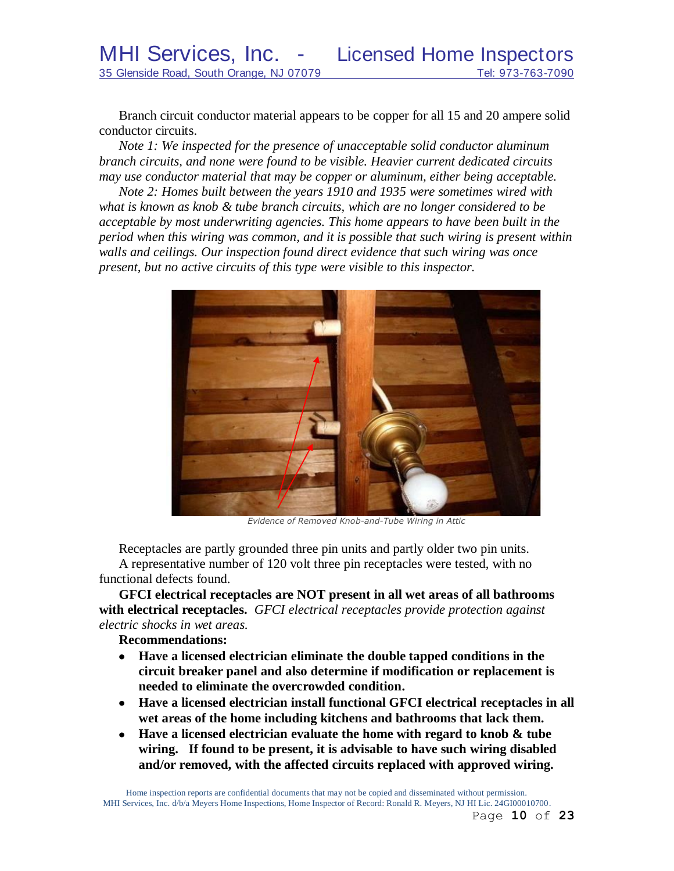Branch circuit conductor material appears to be copper for all 15 and 20 ampere solid conductor circuits.

*Note 1: We inspected for the presence of unacceptable solid conductor aluminum branch circuits, and none were found to be visible. Heavier current dedicated circuits may use conductor material that may be copper or aluminum, either being acceptable.*

*Note 2: Homes built between the years 1910 and 1935 were sometimes wired with what is known as knob & tube branch circuits, which are no longer considered to be acceptable by most underwriting agencies. This home appears to have been built in the period when this wiring was common, and it is possible that such wiring is present within walls and ceilings. Our inspection found direct evidence that such wiring was once present, but no active circuits of this type were visible to this inspector.*



*Evidence of Removed Knob-and-Tube Wiring in Attic*

Receptacles are partly grounded three pin units and partly older two pin units. A representative number of 120 volt three pin receptacles were tested, with no functional defects found.

**GFCI electrical receptacles are NOT present in all wet areas of all bathrooms with electrical receptacles.** *GFCI electrical receptacles provide protection against electric shocks in wet areas.*

**Recommendations:**

- **Have a licensed electrician eliminate the double tapped conditions in the circuit breaker panel and also determine if modification or replacement is needed to eliminate the overcrowded condition.**
- **Have a licensed electrician install functional GFCI electrical receptacles in all wet areas of the home including kitchens and bathrooms that lack them.**
- **Have a licensed electrician evaluate the home with regard to knob & tube wiring. If found to be present, it is advisable to have such wiring disabled and/or removed, with the affected circuits replaced with approved wiring.**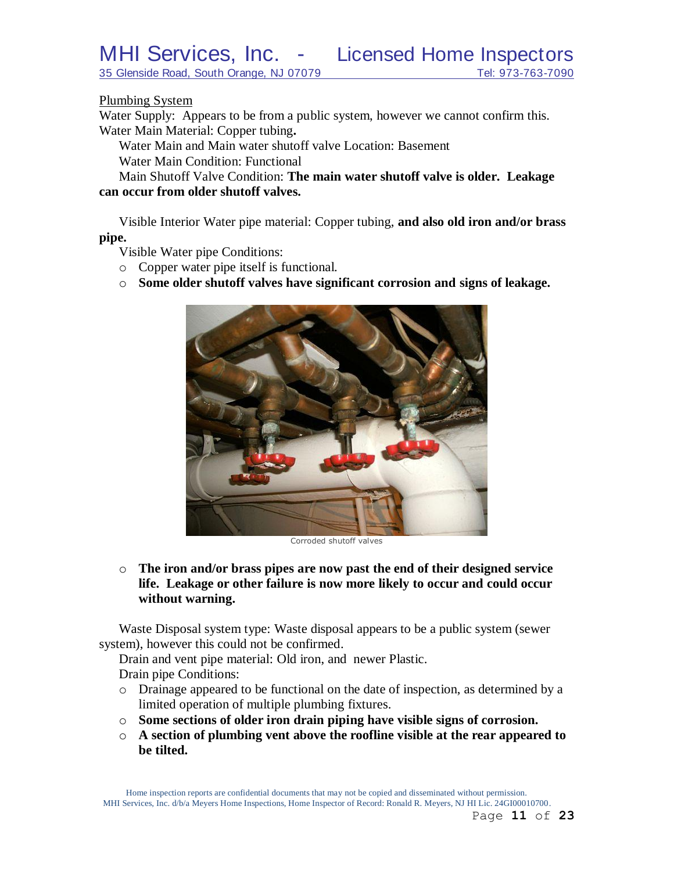35 Glenside Road, South Orange, NJ 07079 Tel: 973-763-7090

### Plumbing System

Water Supply: Appears to be from a public system, however we cannot confirm this. Water Main Material: Copper tubing**.**

Water Main and Main water shutoff valve Location: Basement Water Main Condition: Functional

Main Shutoff Valve Condition: **The main water shutoff valve is older. Leakage can occur from older shutoff valves.**

Visible Interior Water pipe material: Copper tubing, **and also old iron and/or brass pipe.**

Visible Water pipe Conditions:

- o Copper water pipe itself is functional.
- o **Some older shutoff valves have significant corrosion and signs of leakage.**



Corroded shutoff valves

o **The iron and/or brass pipes are now past the end of their designed service life. Leakage or other failure is now more likely to occur and could occur without warning.**

Waste Disposal system type: Waste disposal appears to be a public system (sewer system), however this could not be confirmed.

Drain and vent pipe material: Old iron, and newer Plastic. Drain pipe Conditions:

- o Drainage appeared to be functional on the date of inspection, as determined by a limited operation of multiple plumbing fixtures.
- o **Some sections of older iron drain piping have visible signs of corrosion.**
- o **A section of plumbing vent above the roofline visible at the rear appeared to be tilted.**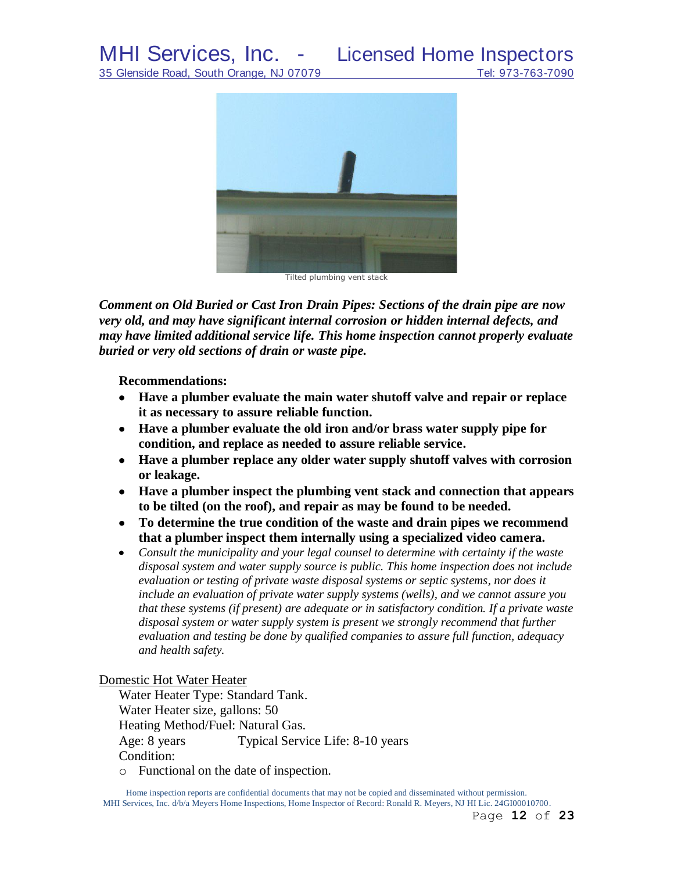# MHI Services, Inc. - Licensed Home Inspectors



Tilted plumbing vent stack

*Comment on Old Buried or Cast Iron Drain Pipes: Sections of the drain pipe are now very old, and may have significant internal corrosion or hidden internal defects, and may have limited additional service life. This home inspection cannot properly evaluate buried or very old sections of drain or waste pipe.*

**Recommendations:**

- **Have a plumber evaluate the main water shutoff valve and repair or replace it as necessary to assure reliable function.**
- **Have a plumber evaluate the old iron and/or brass water supply pipe for condition, and replace as needed to assure reliable service.**
- **Have a plumber replace any older water supply shutoff valves with corrosion or leakage.**
- **Have a plumber inspect the plumbing vent stack and connection that appears to be tilted (on the roof), and repair as may be found to be needed.**
- **To determine the true condition of the waste and drain pipes we recommend that a plumber inspect them internally using a specialized video camera.**
- $\bullet$ *Consult the municipality and your legal counsel to determine with certainty if the waste disposal system and water supply source is public. This home inspection does not include evaluation or testing of private waste disposal systems or septic systems, nor does it include an evaluation of private water supply systems (wells), and we cannot assure you that these systems (if present) are adequate or in satisfactory condition. If a private waste disposal system or water supply system is present we strongly recommend that further evaluation and testing be done by qualified companies to assure full function, adequacy and health safety.*

Domestic Hot Water Heater

Water Heater Type: Standard Tank. Water Heater size, gallons: 50 Heating Method/Fuel: Natural Gas. Age: 8 years Typical Service Life: 8-10 years Condition:

o Functional on the date of inspection.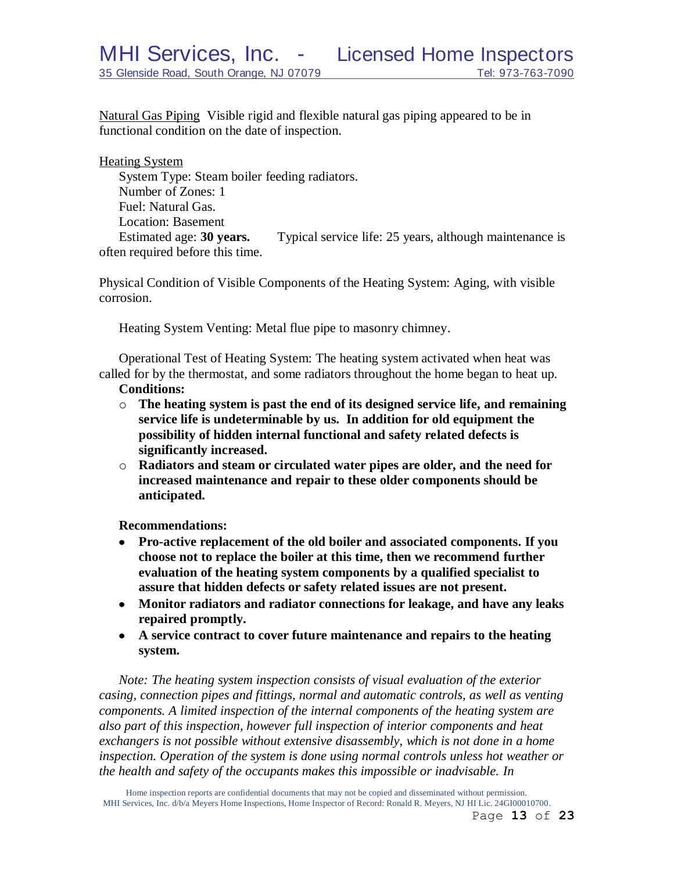Natural Gas Piping Visible rigid and flexible natural gas piping appeared to be in functional condition on the date of inspection.

Heating System System Type: Steam boiler feeding radiators. Number of Zones: 1 Fuel: Natural Gas. Location: Basement Estimated age: **30 years.** Typical service life: 25 years, although maintenance is often required before this time.

Physical Condition of Visible Components of the Heating System: Aging, with visible corrosion.

Heating System Venting: Metal flue pipe to masonry chimney.

Operational Test of Heating System: The heating system activated when heat was called for by the thermostat, and some radiators throughout the home began to heat up.

### **Conditions:**

- o **The heating system is past the end of its designed service life, and remaining service life is undeterminable by us. In addition for old equipment the possibility of hidden internal functional and safety related defects is significantly increased.**
- o **Radiators and steam or circulated water pipes are older, and the need for increased maintenance and repair to these older components should be anticipated.**

**Recommendations:**

- **Pro-active replacement of the old boiler and associated components. If you choose not to replace the boiler at this time, then we recommend further evaluation of the heating system components by a qualified specialist to assure that hidden defects or safety related issues are not present.**
- **Monitor radiators and radiator connections for leakage, and have any leaks repaired promptly.**
- **A service contract to cover future maintenance and repairs to the heating system.**

*Note: The heating system inspection consists of visual evaluation of the exterior casing, connection pipes and fittings, normal and automatic controls, as well as venting components. A limited inspection of the internal components of the heating system are also part of this inspection, however full inspection of interior components and heat exchangers is not possible without extensive disassembly, which is not done in a home inspection. Operation of the system is done using normal controls unless hot weather or the health and safety of the occupants makes this impossible or inadvisable. In*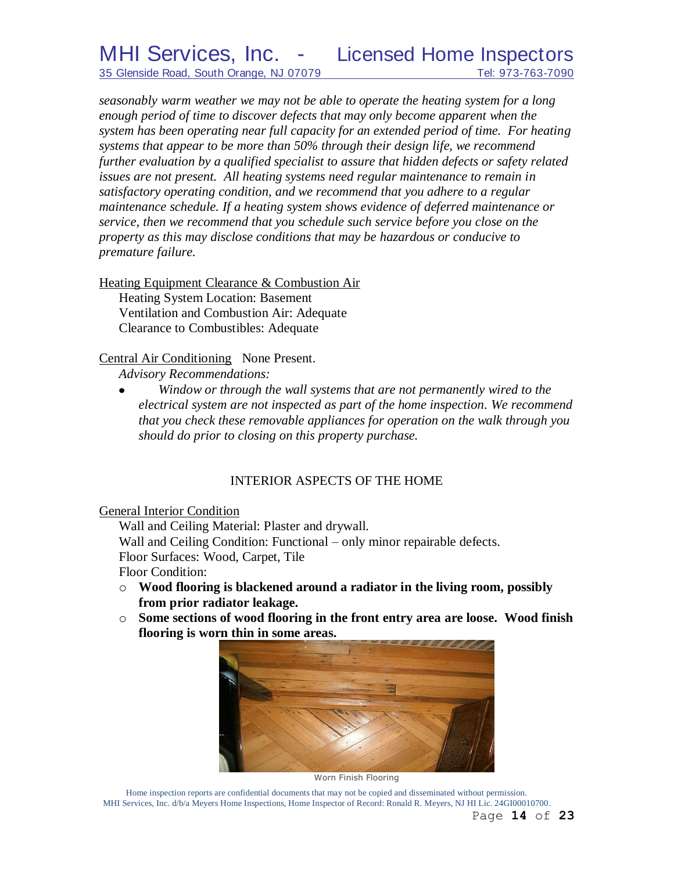*seasonably warm weather we may not be able to operate the heating system for a long enough period of time to discover defects that may only become apparent when the system has been operating near full capacity for an extended period of time. For heating systems that appear to be more than 50% through their design life, we recommend further evaluation by a qualified specialist to assure that hidden defects or safety related issues are not present. All heating systems need regular maintenance to remain in satisfactory operating condition, and we recommend that you adhere to a regular maintenance schedule. If a heating system shows evidence of deferred maintenance or service, then we recommend that you schedule such service before you close on the property as this may disclose conditions that may be hazardous or conducive to premature failure.*

Heating Equipment Clearance & Combustion Air Heating System Location: Basement Ventilation and Combustion Air: Adequate Clearance to Combustibles: Adequate

Central Air Conditioning None Present.

*Advisory Recommendations:* 

*Window or through the wall systems that are not permanently wired to the*   $\bullet$ *electrical system are not inspected as part of the home inspection. We recommend that you check these removable appliances for operation on the walk through you should do prior to closing on this property purchase.*

# INTERIOR ASPECTS OF THE HOME

General Interior Condition

Wall and Ceiling Material: Plaster and drywall.

Wall and Ceiling Condition: Functional – only minor repairable defects.

Floor Surfaces: Wood, Carpet, Tile

Floor Condition:

- o **Wood flooring is blackened around a radiator in the living room, possibly from prior radiator leakage.**
- o **Some sections of wood flooring in the front entry area are loose. Wood finish flooring is worn thin in some areas.**



Worn Finish Flooring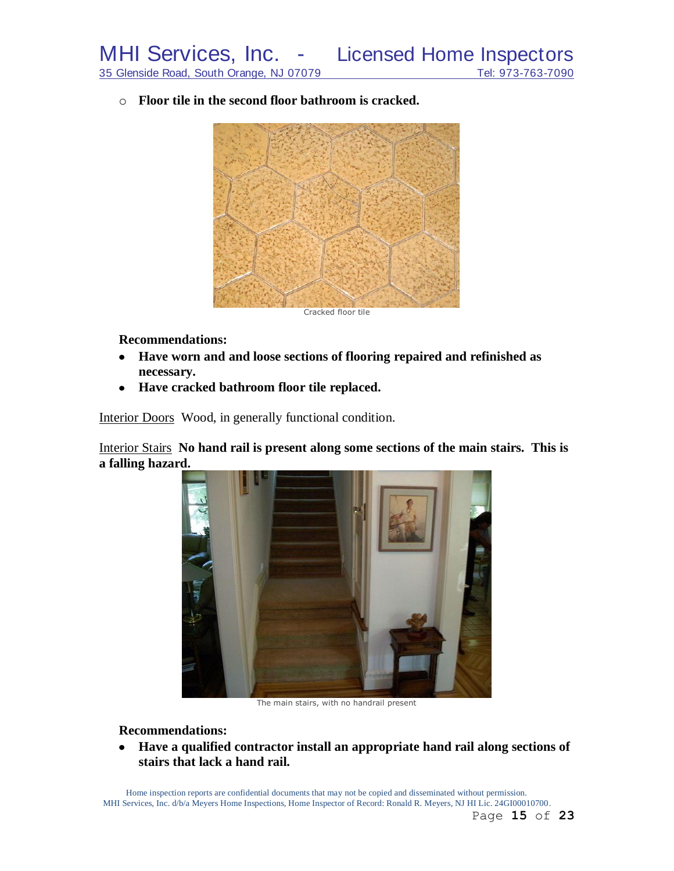o **Floor tile in the second floor bathroom is cracked.**



Cracked floor tile

**Recommendations:**

- **Have worn and and loose sections of flooring repaired and refinished as necessary.**
- **Have cracked bathroom floor tile replaced.**

Interior Doors Wood, in generally functional condition.

Interior Stairs **No hand rail is present along some sections of the main stairs. This is a falling hazard.**



The main stairs, with no handrail present

### **Recommendations:**

 $\bullet$ **Have a qualified contractor install an appropriate hand rail along sections of stairs that lack a hand rail.**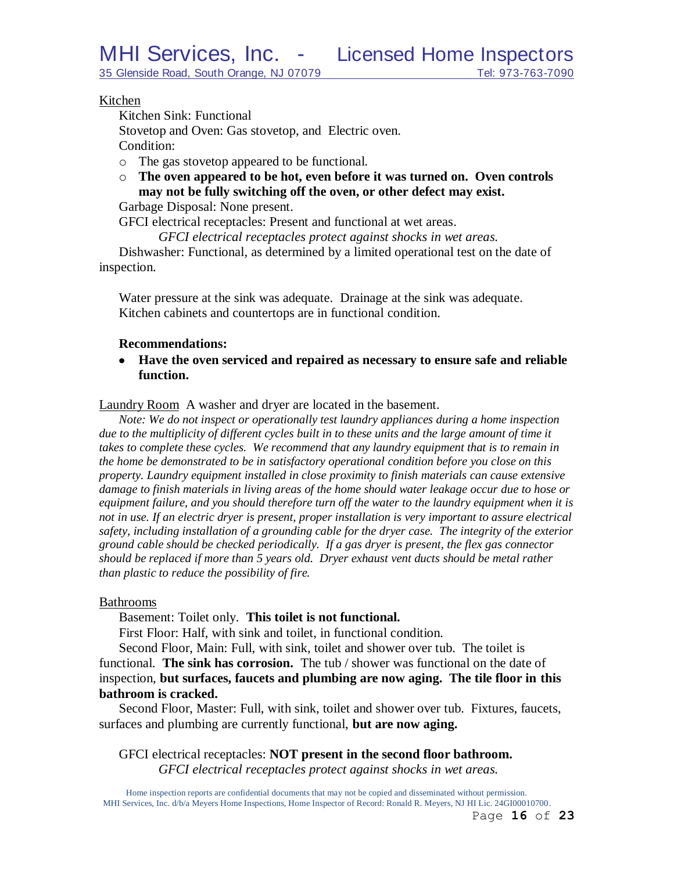35 Glenside Road, South Orange, NJ 07079 Tel: 973-763-7090

### Kitchen

Kitchen Sink: Functional

Stovetop and Oven: Gas stovetop, and Electric oven.

Condition:

- o The gas stovetop appeared to be functional.
- o **The oven appeared to be hot, even before it was turned on. Oven controls may not be fully switching off the oven, or other defect may exist.**

Garbage Disposal: None present.

GFCI electrical receptacles: Present and functional at wet areas.

*GFCI electrical receptacles protect against shocks in wet areas.*

Dishwasher: Functional, as determined by a limited operational test on the date of inspection.

Water pressure at the sink was adequate. Drainage at the sink was adequate. Kitchen cabinets and countertops are in functional condition.

## **Recommendations:**

**Have the oven serviced and repaired as necessary to ensure safe and reliable function.**

Laundry Room A washer and dryer are located in the basement.

*Note: We do not inspect or operationally test laundry appliances during a home inspection*  due to the multiplicity of different cycles built in to these units and the large amount of time it takes to complete these cycles. We recommend that any laundry equipment that is to remain in *the home be demonstrated to be in satisfactory operational condition before you close on this property. Laundry equipment installed in close proximity to finish materials can cause extensive damage to finish materials in living areas of the home should water leakage occur due to hose or equipment failure, and you should therefore turn off the water to the laundry equipment when it is not in use. If an electric dryer is present, proper installation is very important to assure electrical safety, including installation of a grounding cable for the dryer case. The integrity of the exterior ground cable should be checked periodically. If a gas dryer is present, the flex gas connector should be replaced if more than 5 years old. Dryer exhaust vent ducts should be metal rather than plastic to reduce the possibility of fire.*

### Bathrooms

Basement: Toilet only. **This toilet is not functional.**

First Floor: Half, with sink and toilet, in functional condition.

Second Floor, Main: Full, with sink, toilet and shower over tub. The toilet is functional. **The sink has corrosion.** The tub / shower was functional on the date of inspection, **but surfaces, faucets and plumbing are now aging. The tile floor in this bathroom is cracked.**

Second Floor, Master: Full, with sink, toilet and shower over tub. Fixtures, faucets, surfaces and plumbing are currently functional, **but are now aging.**

GFCI electrical receptacles: **NOT present in the second floor bathroom.** *GFCI electrical receptacles protect against shocks in wet areas.*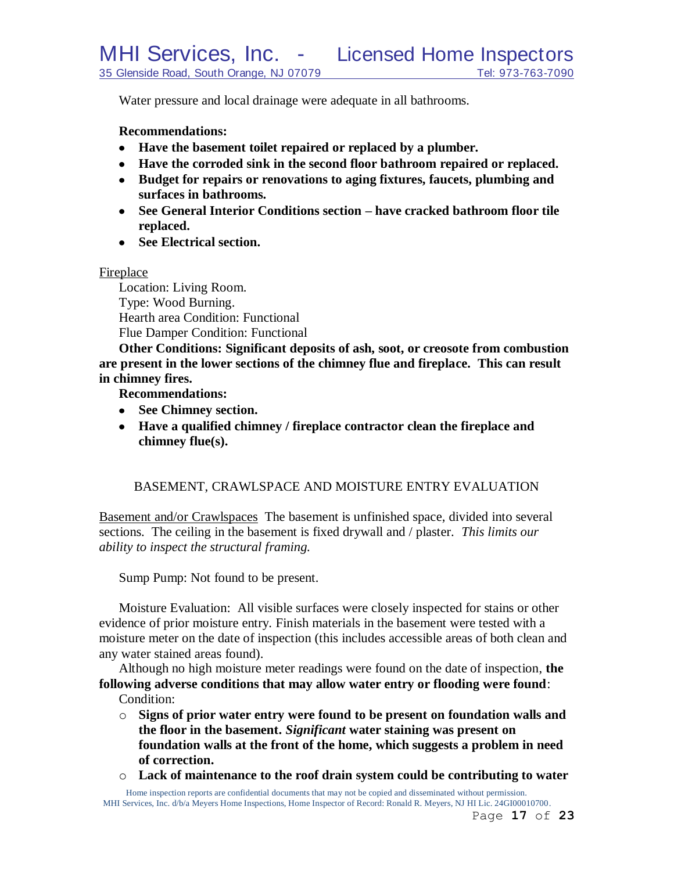Water pressure and local drainage were adequate in all bathrooms.

### **Recommendations:**

- **Have the basement toilet repaired or replaced by a plumber.**
- **Have the corroded sink in the second floor bathroom repaired or replaced.**
- **Budget for repairs or renovations to aging fixtures, faucets, plumbing and surfaces in bathrooms.**
- **See General Interior Conditions section – have cracked bathroom floor tile replaced.**
- **See Electrical section.**

### Fireplace

Location: Living Room. Type: Wood Burning. Hearth area Condition: Functional Flue Damper Condition: Functional

**Other Conditions: Significant deposits of ash, soot, or creosote from combustion are present in the lower sections of the chimney flue and fireplace. This can result in chimney fires.**

**Recommendations:**

- **See Chimney section.**
- **Have a qualified chimney / fireplace contractor clean the fireplace and chimney flue(s).**

### BASEMENT, CRAWLSPACE AND MOISTURE ENTRY EVALUATION

Basement and/or Crawlspaces The basement is unfinished space, divided into several sections. The ceiling in the basement is fixed drywall and / plaster. *This limits our ability to inspect the structural framing.*

Sump Pump: Not found to be present.

Moisture Evaluation: All visible surfaces were closely inspected for stains or other evidence of prior moisture entry. Finish materials in the basement were tested with a moisture meter on the date of inspection (this includes accessible areas of both clean and any water stained areas found).

Although no high moisture meter readings were found on the date of inspection, **the following adverse conditions that may allow water entry or flooding were found**: Condition:

- o **Signs of prior water entry were found to be present on foundation walls and the floor in the basement.** *Significant* **water staining was present on foundation walls at the front of the home, which suggests a problem in need of correction.**
- o **Lack of maintenance to the roof drain system could be contributing to water**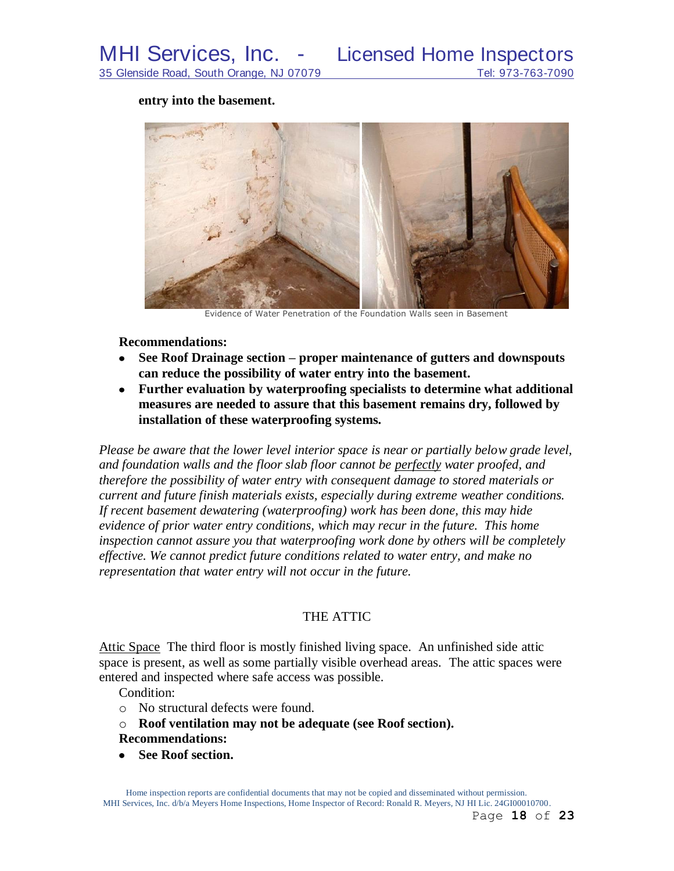#### **entry into the basement.**



Evidence of Water Penetration of the Foundation Walls seen in Basement

### **Recommendations:**

- **See Roof Drainage section – proper maintenance of gutters and downspouts**   $\bullet$ **can reduce the possibility of water entry into the basement.**
- **Further evaluation by waterproofing specialists to determine what additional measures are needed to assure that this basement remains dry, followed by installation of these waterproofing systems.**

*Please be aware that the lower level interior space is near or partially below grade level, and foundation walls and the floor slab floor cannot be perfectly water proofed, and therefore the possibility of water entry with consequent damage to stored materials or current and future finish materials exists, especially during extreme weather conditions. If recent basement dewatering (waterproofing) work has been done, this may hide evidence of prior water entry conditions, which may recur in the future. This home inspection cannot assure you that waterproofing work done by others will be completely effective. We cannot predict future conditions related to water entry, and make no representation that water entry will not occur in the future.*

### THE ATTIC

Attic Space The third floor is mostly finished living space. An unfinished side attic space is present, as well as some partially visible overhead areas. The attic spaces were entered and inspected where safe access was possible.

Condition:

- o No structural defects were found.
- o **Roof ventilation may not be adequate (see Roof section). Recommendations:**
- See Roof section.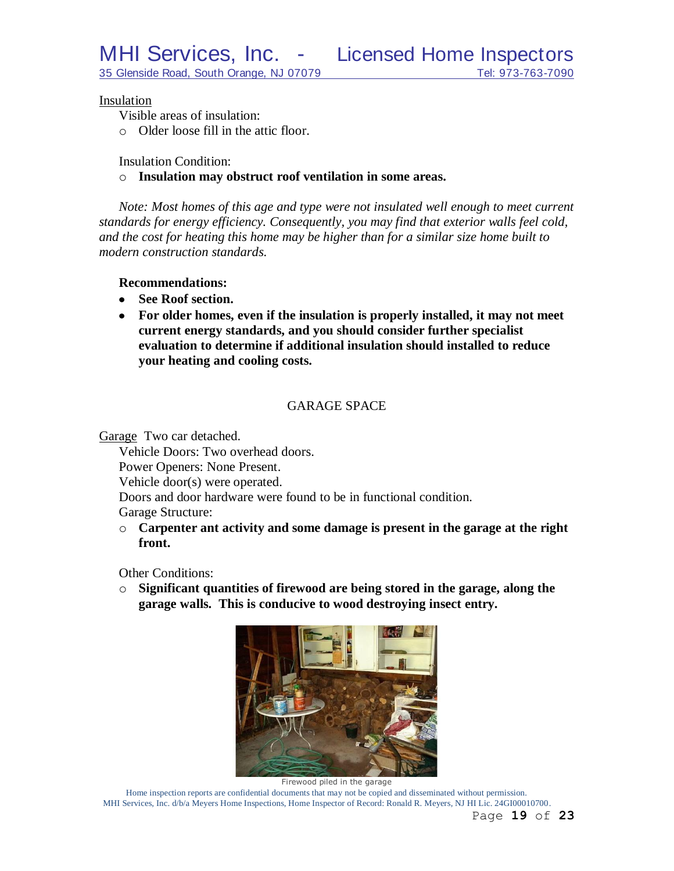### Insulation

Visible areas of insulation:

o Older loose fill in the attic floor.

Insulation Condition:

o **Insulation may obstruct roof ventilation in some areas.**

*Note: Most homes of this age and type were not insulated well enough to meet current standards for energy efficiency. Consequently, you may find that exterior walls feel cold, and the cost for heating this home may be higher than for a similar size home built to modern construction standards.*

### **Recommendations:**

- **See Roof section.**
- **For older homes, even if the insulation is properly installed, it may not meet current energy standards, and you should consider further specialist evaluation to determine if additional insulation should installed to reduce your heating and cooling costs.**

## GARAGE SPACE

Garage Two car detached.

Vehicle Doors: Two overhead doors. Power Openers: None Present. Vehicle door(s) were operated. Doors and door hardware were found to be in functional condition. Garage Structure:

o **Carpenter ant activity and some damage is present in the garage at the right front.**

Other Conditions:

o **Significant quantities of firewood are being stored in the garage, along the garage walls. This is conducive to wood destroying insect entry.**



Firewood piled in the garage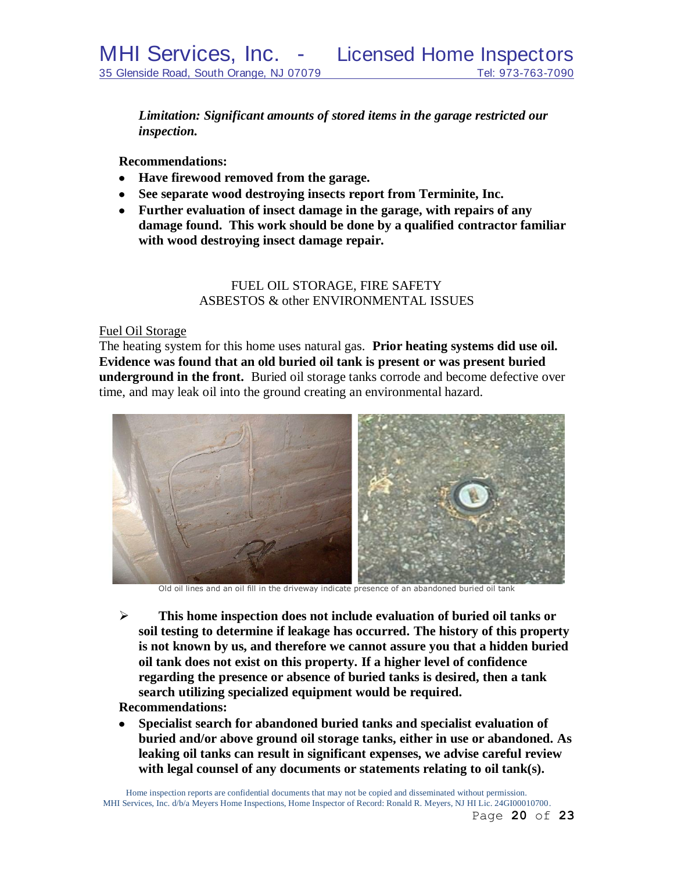*Limitation: Significant amounts of stored items in the garage restricted our inspection.*

**Recommendations:**

- **Have firewood removed from the garage.**
- **See separate wood destroying insects report from Terminite, Inc.**
- **Further evaluation of insect damage in the garage, with repairs of any damage found. This work should be done by a qualified contractor familiar with wood destroying insect damage repair.**

# FUEL OIL STORAGE, FIRE SAFETY ASBESTOS & other ENVIRONMENTAL ISSUES

## Fuel Oil Storage

The heating system for this home uses natural gas. **Prior heating systems did use oil. Evidence was found that an old buried oil tank is present or was present buried underground in the front.** Buried oil storage tanks corrode and become defective over time, and may leak oil into the ground creating an environmental hazard.



Old oil lines and an oil fill in the driveway indicate presence of an abandoned buried oil tank

 **This home inspection does not include evaluation of buried oil tanks or soil testing to determine if leakage has occurred. The history of this property is not known by us, and therefore we cannot assure you that a hidden buried oil tank does not exist on this property. If a higher level of confidence regarding the presence or absence of buried tanks is desired, then a tank search utilizing specialized equipment would be required.**

# **Recommendations:**

**Specialist search for abandoned buried tanks and specialist evaluation of**   $\bullet$ **buried and/or above ground oil storage tanks, either in use or abandoned. As leaking oil tanks can result in significant expenses, we advise careful review with legal counsel of any documents or statements relating to oil tank(s).**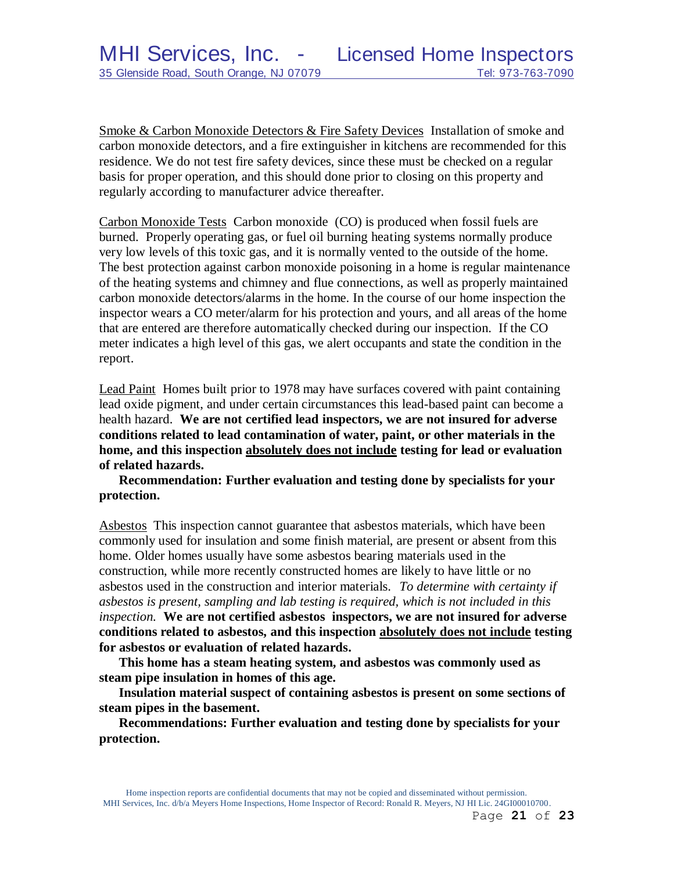Smoke & Carbon Monoxide Detectors & Fire Safety Devices Installation of smoke and carbon monoxide detectors, and a fire extinguisher in kitchens are recommended for this residence. We do not test fire safety devices, since these must be checked on a regular basis for proper operation, and this should done prior to closing on this property and regularly according to manufacturer advice thereafter.

Carbon Monoxide Tests Carbon monoxide (CO) is produced when fossil fuels are burned. Properly operating gas, or fuel oil burning heating systems normally produce very low levels of this toxic gas, and it is normally vented to the outside of the home. The best protection against carbon monoxide poisoning in a home is regular maintenance of the heating systems and chimney and flue connections, as well as properly maintained carbon monoxide detectors/alarms in the home. In the course of our home inspection the inspector wears a CO meter/alarm for his protection and yours, and all areas of the home that are entered are therefore automatically checked during our inspection. If the CO meter indicates a high level of this gas, we alert occupants and state the condition in the report.

Lead Paint Homes built prior to 1978 may have surfaces covered with paint containing lead oxide pigment, and under certain circumstances this lead-based paint can become a health hazard. **We are not certified lead inspectors, we are not insured for adverse conditions related to lead contamination of water, paint, or other materials in the home, and this inspection absolutely does not include testing for lead or evaluation of related hazards.** 

**Recommendation: Further evaluation and testing done by specialists for your protection.**

Asbestos This inspection cannot guarantee that asbestos materials, which have been commonly used for insulation and some finish material, are present or absent from this home. Older homes usually have some asbestos bearing materials used in the construction, while more recently constructed homes are likely to have little or no asbestos used in the construction and interior materials. *To determine with certainty if asbestos is present, sampling and lab testing is required, which is not included in this inspection.* **We are not certified asbestos inspectors, we are not insured for adverse conditions related to asbestos, and this inspection absolutely does not include testing for asbestos or evaluation of related hazards.**

**This home has a steam heating system, and asbestos was commonly used as steam pipe insulation in homes of this age.**

**Insulation material suspect of containing asbestos is present on some sections of steam pipes in the basement.**

**Recommendations: Further evaluation and testing done by specialists for your protection.**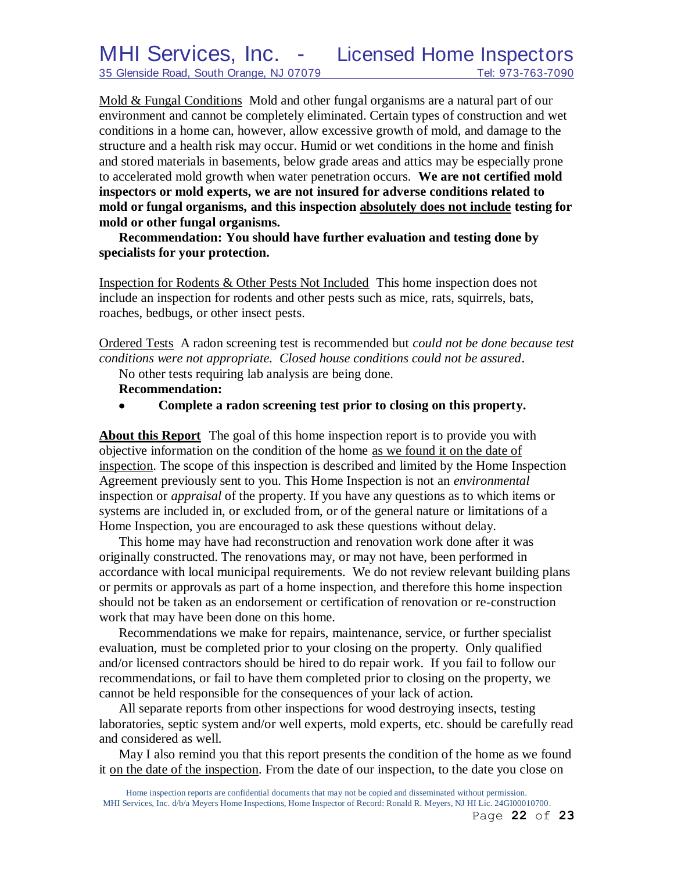Mold & Fungal Conditions Mold and other fungal organisms are a natural part of our environment and cannot be completely eliminated. Certain types of construction and wet conditions in a home can, however, allow excessive growth of mold, and damage to the structure and a health risk may occur. Humid or wet conditions in the home and finish and stored materials in basements, below grade areas and attics may be especially prone to accelerated mold growth when water penetration occurs. **We are not certified mold inspectors or mold experts, we are not insured for adverse conditions related to mold or fungal organisms, and this inspection absolutely does not include testing for mold or other fungal organisms.**

**Recommendation: You should have further evaluation and testing done by specialists for your protection.**

Inspection for Rodents & Other Pests Not Included This home inspection does not include an inspection for rodents and other pests such as mice, rats, squirrels, bats, roaches, bedbugs, or other insect pests.

Ordered Tests A radon screening test is recommended but *could not be done because test conditions were not appropriate. Closed house conditions could not be assured*.

No other tests requiring lab analysis are being done.

### **Recommendation:**

 $\bullet$ **Complete a radon screening test prior to closing on this property.**

**About this Report** The goal of this home inspection report is to provide you with objective information on the condition of the home as we found it on the date of inspection. The scope of this inspection is described and limited by the Home Inspection Agreement previously sent to you. This Home Inspection is not an *environmental* inspection or *appraisal* of the property. If you have any questions as to which items or systems are included in, or excluded from, or of the general nature or limitations of a Home Inspection, you are encouraged to ask these questions without delay.

This home may have had reconstruction and renovation work done after it was originally constructed. The renovations may, or may not have, been performed in accordance with local municipal requirements. We do not review relevant building plans or permits or approvals as part of a home inspection, and therefore this home inspection should not be taken as an endorsement or certification of renovation or re-construction work that may have been done on this home.

Recommendations we make for repairs, maintenance, service, or further specialist evaluation, must be completed prior to your closing on the property. Only qualified and/or licensed contractors should be hired to do repair work. If you fail to follow our recommendations, or fail to have them completed prior to closing on the property, we cannot be held responsible for the consequences of your lack of action.

All separate reports from other inspections for wood destroying insects, testing laboratories, septic system and/or well experts, mold experts, etc. should be carefully read and considered as well.

May I also remind you that this report presents the condition of the home as we found it on the date of the inspection. From the date of our inspection, to the date you close on